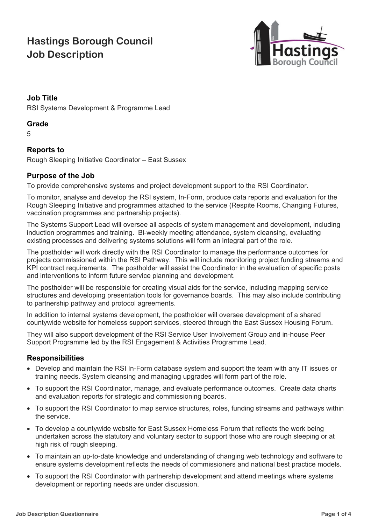# **Hastings Borough Council Job Description**



# **Job Title**

RSI Systems Development & Programme Lead

#### **Grade**

5

# **Reports to**

Rough Sleeping Initiative Coordinator – East Sussex

#### **Purpose of the Job**

To provide comprehensive systems and project development support to the RSI Coordinator.

To monitor, analyse and develop the RSI system, In-Form, produce data reports and evaluation for the Rough Sleeping Initiative and programmes attached to the service (Respite Rooms, Changing Futures, vaccination programmes and partnership projects).

The Systems Support Lead will oversee all aspects of system management and development, including induction programmes and training. Bi-weekly meeting attendance, system cleansing, evaluating existing processes and delivering systems solutions will form an integral part of the role.

The postholder will work directly with the RSI Coordinator to manage the performance outcomes for projects commissioned within the RSI Pathway. This will include monitoring project funding streams and KPI contract requirements. The postholder will assist the Coordinator in the evaluation of specific posts and interventions to inform future service planning and development.

The postholder will be responsible for creating visual aids for the service, including mapping service structures and developing presentation tools for governance boards. This may also include contributing to partnership pathway and protocol agreements.

In addition to internal systems development, the postholder will oversee development of a shared countywide website for homeless support services, steered through the East Sussex Housing Forum.

They will also support development of the RSI Service User Involvement Group and in-house Peer Support Programme led by the RSI Engagement & Activities Programme Lead.

# **Responsibilities**

- Develop and maintain the RSI In-Form database system and support the team with any IT issues or training needs. System cleansing and managing upgrades will form part of the role.
- To support the RSI Coordinator, manage, and evaluate performance outcomes. Create data charts and evaluation reports for strategic and commissioning boards.
- To support the RSI Coordinator to map service structures, roles, funding streams and pathways within the service.
- To develop a countywide website for East Sussex Homeless Forum that reflects the work being undertaken across the statutory and voluntary sector to support those who are rough sleeping or at high risk of rough sleeping.
- To maintain an up-to-date knowledge and understanding of changing web technology and software to ensure systems development reflects the needs of commissioners and national best practice models.
- To support the RSI Coordinator with partnership development and attend meetings where systems development or reporting needs are under discussion.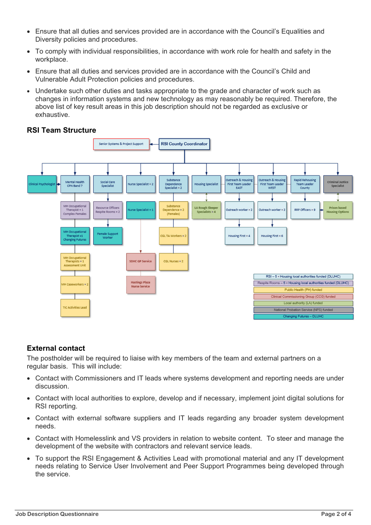- Ensure that all duties and services provided are in accordance with the Council's Equalities and Diversity policies and procedures.
- To comply with individual responsibilities, in accordance with work role for health and safety in the workplace.
- Ensure that all duties and services provided are in accordance with the Council's Child and Vulnerable Adult Protection policies and procedures.
- Undertake such other duties and tasks appropriate to the grade and character of work such as changes in information systems and new technology as may reasonably be required. Therefore, the above list of key result areas in this job description should not be regarded as exclusive or exhaustive.



# **RSI Team Structure**

# **External contact**

The postholder will be required to liaise with key members of the team and external partners on a regular basis. This will include:

- Contact with Commissioners and IT leads where systems development and reporting needs are under discussion.
- Contact with local authorities to explore, develop and if necessary, implement joint digital solutions for RSI reporting.
- Contact with external software suppliers and IT leads regarding any broader system development needs.
- Contact with Homelesslink and VS providers in relation to website content. To steer and manage the development of the website with contractors and relevant service leads.
- To support the RSI Engagement & Activities Lead with promotional material and any IT development needs relating to Service User Involvement and Peer Support Programmes being developed through the service.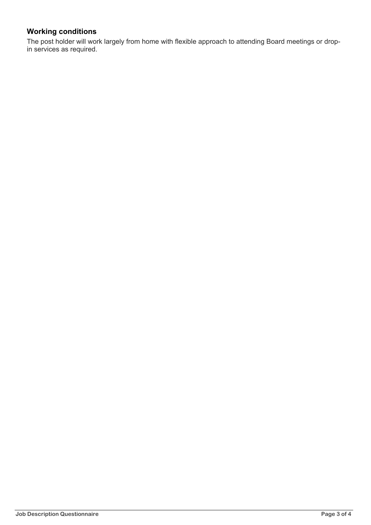# **Working conditions**

The post holder will work largely from home with flexible approach to attending Board meetings or dropin services as required.